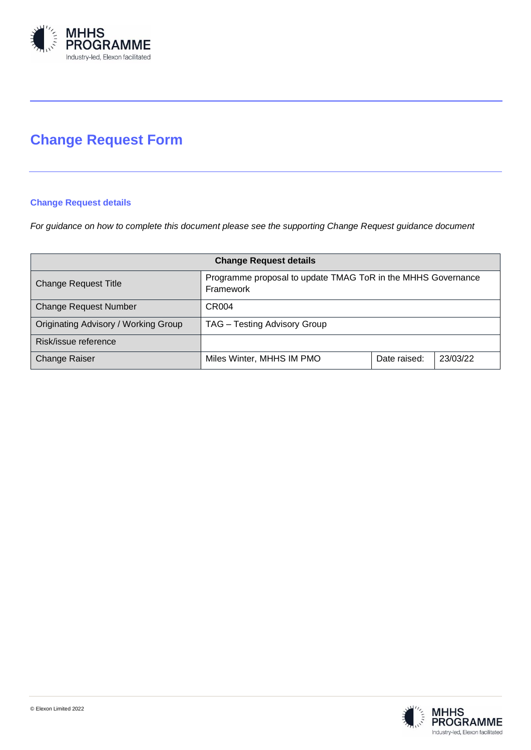

# **Change Request Form**

# **Change Request details**

*For guidance on how to complete this document please see the supporting Change Request guidance document*

| <b>Change Request details</b>               |                                                                           |              |          |
|---------------------------------------------|---------------------------------------------------------------------------|--------------|----------|
| <b>Change Request Title</b>                 | Programme proposal to update TMAG ToR in the MHHS Governance<br>Framework |              |          |
| <b>Change Request Number</b>                | CR004                                                                     |              |          |
| <b>Originating Advisory / Working Group</b> | TAG - Testing Advisory Group                                              |              |          |
| Risk/issue reference                        |                                                                           |              |          |
| <b>Change Raiser</b>                        | Miles Winter, MHHS IM PMO                                                 | Date raised: | 23/03/22 |

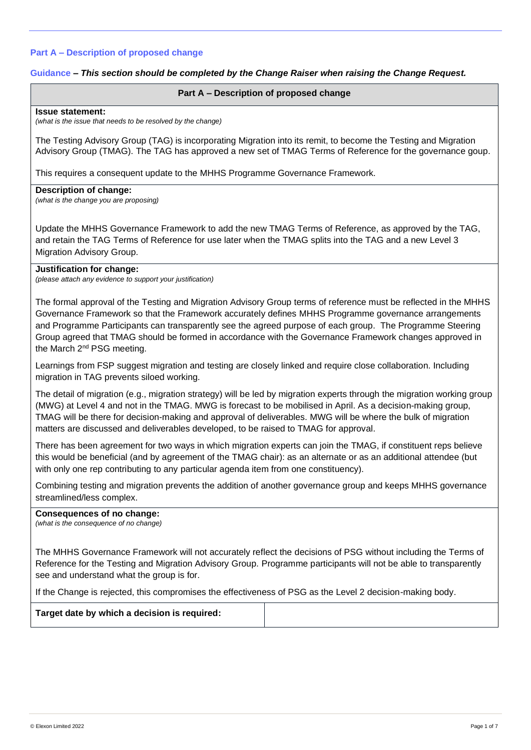#### **Guidance** *– This section should be completed by the Change Raiser when raising the Change Request.*

#### **Part A – Description of proposed change**

#### **Issue statement:**

*(what is the issue that needs to be resolved by the change)*

The Testing Advisory Group (TAG) is incorporating Migration into its remit, to become the Testing and Migration Advisory Group (TMAG). The TAG has approved a new set of TMAG Terms of Reference for the governance goup.

This requires a consequent update to the MHHS Programme Governance Framework.

#### **Description of change:**

*(what is the change you are proposing)*

Update the MHHS Governance Framework to add the new TMAG Terms of Reference, as approved by the TAG, and retain the TAG Terms of Reference for use later when the TMAG splits into the TAG and a new Level 3 Migration Advisory Group.

#### **Justification for change:**

*(please attach any evidence to support your justification)*

The formal approval of the Testing and Migration Advisory Group terms of reference must be reflected in the MHHS Governance Framework so that the Framework accurately defines MHHS Programme governance arrangements and Programme Participants can transparently see the agreed purpose of each group. The Programme Steering Group agreed that TMAG should be formed in accordance with the Governance Framework changes approved in the March 2<sup>nd</sup> PSG meeting.

Learnings from FSP suggest migration and testing are closely linked and require close collaboration. Including migration in TAG prevents siloed working.

The detail of migration (e.g., migration strategy) will be led by migration experts through the migration working group (MWG) at Level 4 and not in the TMAG. MWG is forecast to be mobilised in April. As a decision-making group, TMAG will be there for decision-making and approval of deliverables. MWG will be where the bulk of migration matters are discussed and deliverables developed, to be raised to TMAG for approval.

There has been agreement for two ways in which migration experts can join the TMAG, if constituent reps believe this would be beneficial (and by agreement of the TMAG chair): as an alternate or as an additional attendee (but with only one rep contributing to any particular agenda item from one constituency).

Combining testing and migration prevents the addition of another governance group and keeps MHHS governance streamlined/less complex.

# **Consequences of no change:**

*(what is the consequence of no change)*

The MHHS Governance Framework will not accurately reflect the decisions of PSG without including the Terms of Reference for the Testing and Migration Advisory Group. Programme participants will not be able to transparently see and understand what the group is for.

If the Change is rejected, this compromises the effectiveness of PSG as the Level 2 decision-making body.

| Target date by which a decision is required: |  |
|----------------------------------------------|--|
|                                              |  |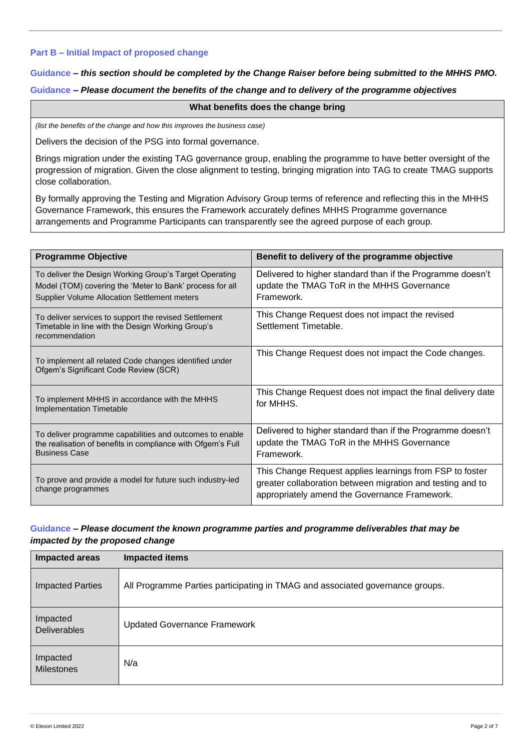### **Part B – Initial Impact of proposed change**

## **Guidance** *– this section should be completed by the Change Raiser before being submitted to the MHHS PMO.*

**Guidance** *– Please document the benefits of the change and to delivery of the programme objectives*

### **What benefits does the change bring**

*(list the benefits of the change and how this improves the business case)*

Delivers the decision of the PSG into formal governance.

Brings migration under the existing TAG governance group, enabling the programme to have better oversight of the progression of migration. Given the close alignment to testing, bringing migration into TAG to create TMAG supports close collaboration.

By formally approving the Testing and Migration Advisory Group terms of reference and reflecting this in the MHHS Governance Framework, this ensures the Framework accurately defines MHHS Programme governance arrangements and Programme Participants can transparently see the agreed purpose of each group.

| <b>Programme Objective</b>                                                                                                                                                | Benefit to delivery of the programme objective                                                                                                                          |
|---------------------------------------------------------------------------------------------------------------------------------------------------------------------------|-------------------------------------------------------------------------------------------------------------------------------------------------------------------------|
| To deliver the Design Working Group's Target Operating<br>Model (TOM) covering the 'Meter to Bank' process for all<br><b>Supplier Volume Allocation Settlement meters</b> | Delivered to higher standard than if the Programme doesn't<br>update the TMAG ToR in the MHHS Governance<br>Framework.                                                  |
| To deliver services to support the revised Settlement<br>Timetable in line with the Design Working Group's<br>recommendation                                              | This Change Request does not impact the revised<br>Settlement Timetable.                                                                                                |
| To implement all related Code changes identified under<br>Ofgem's Significant Code Review (SCR)                                                                           | This Change Request does not impact the Code changes.                                                                                                                   |
| To implement MHHS in accordance with the MHHS<br><b>Implementation Timetable</b>                                                                                          | This Change Request does not impact the final delivery date<br>for MHHS.                                                                                                |
| To deliver programme capabilities and outcomes to enable<br>the realisation of benefits in compliance with Ofgem's Full<br><b>Business Case</b>                           | Delivered to higher standard than if the Programme doesn't<br>update the TMAG ToR in the MHHS Governance<br>Framework.                                                  |
| To prove and provide a model for future such industry-led<br>change programmes                                                                                            | This Change Request applies learnings from FSP to foster<br>greater collaboration between migration and testing and to<br>appropriately amend the Governance Framework. |

# **Guidance** *– Please document the known programme parties and programme deliverables that may be impacted by the proposed change*

| <b>Impacted areas</b>           | <b>Impacted items</b>                                                         |
|---------------------------------|-------------------------------------------------------------------------------|
| <b>Impacted Parties</b>         | All Programme Parties participating in TMAG and associated governance groups. |
| Impacted<br><b>Deliverables</b> | <b>Updated Governance Framework</b>                                           |
| Impacted<br><b>Milestones</b>   | N/a                                                                           |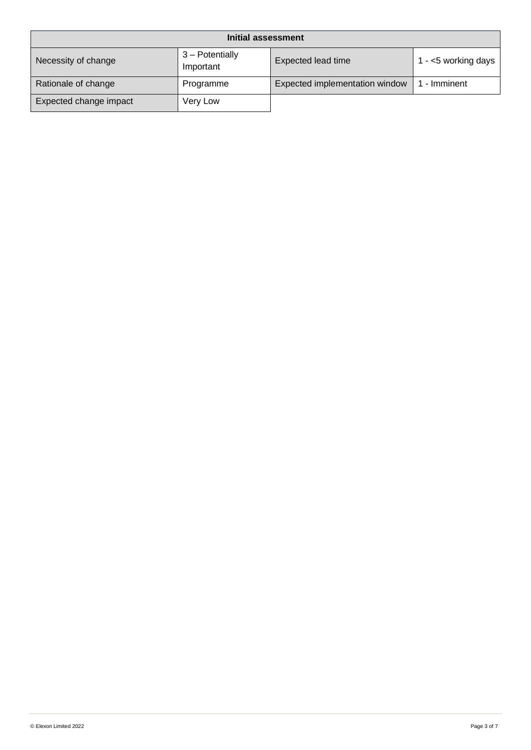| Initial assessment     |                              |                                |                        |
|------------------------|------------------------------|--------------------------------|------------------------|
| Necessity of change    | 3 - Potentially<br>Important | Expected lead time             | 1 - $<$ 5 working days |
| Rationale of change    | Programme                    | Expected implementation window | 1 - Imminent           |
| Expected change impact | Very Low                     |                                |                        |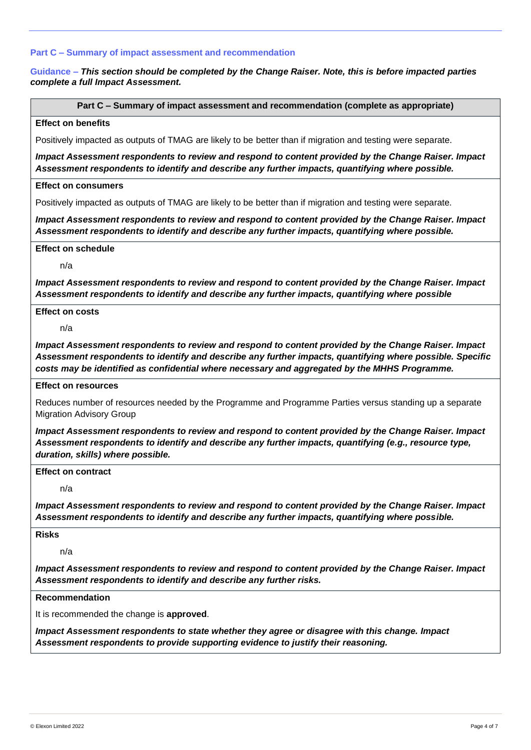#### **Part C – Summary of impact assessment and recommendation**

**Guidance –** *This section should be completed by the Change Raiser. Note, this is before impacted parties complete a full Impact Assessment.*

#### **Part C – Summary of impact assessment and recommendation (complete as appropriate)**

#### **Effect on benefits**

Positively impacted as outputs of TMAG are likely to be better than if migration and testing were separate.

*Impact Assessment respondents to review and respond to content provided by the Change Raiser. Impact Assessment respondents to identify and describe any further impacts, quantifying where possible.*

#### **Effect on consumers**

Positively impacted as outputs of TMAG are likely to be better than if migration and testing were separate.

*Impact Assessment respondents to review and respond to content provided by the Change Raiser. Impact Assessment respondents to identify and describe any further impacts, quantifying where possible.*

### **Effect on schedule**

n/a

*Impact Assessment respondents to review and respond to content provided by the Change Raiser. Impact Assessment respondents to identify and describe any further impacts, quantifying where possible*

#### **Effect on costs**

n/a

*Impact Assessment respondents to review and respond to content provided by the Change Raiser. Impact Assessment respondents to identify and describe any further impacts, quantifying where possible. Specific costs may be identified as confidential where necessary and aggregated by the MHHS Programme.*

# **Effect on resources**

Reduces number of resources needed by the Programme and Programme Parties versus standing up a separate Migration Advisory Group

*Impact Assessment respondents to review and respond to content provided by the Change Raiser. Impact Assessment respondents to identify and describe any further impacts, quantifying (e.g., resource type, duration, skills) where possible.*

#### **Effect on contract**

n/a

*Impact Assessment respondents to review and respond to content provided by the Change Raiser. Impact Assessment respondents to identify and describe any further impacts, quantifying where possible.*

#### **Risks**

n/a

*Impact Assessment respondents to review and respond to content provided by the Change Raiser. Impact Assessment respondents to identify and describe any further risks.*

#### **Recommendation**

It is recommended the change is **approved**.

*Impact Assessment respondents to state whether they agree or disagree with this change. Impact Assessment respondents to provide supporting evidence to justify their reasoning.*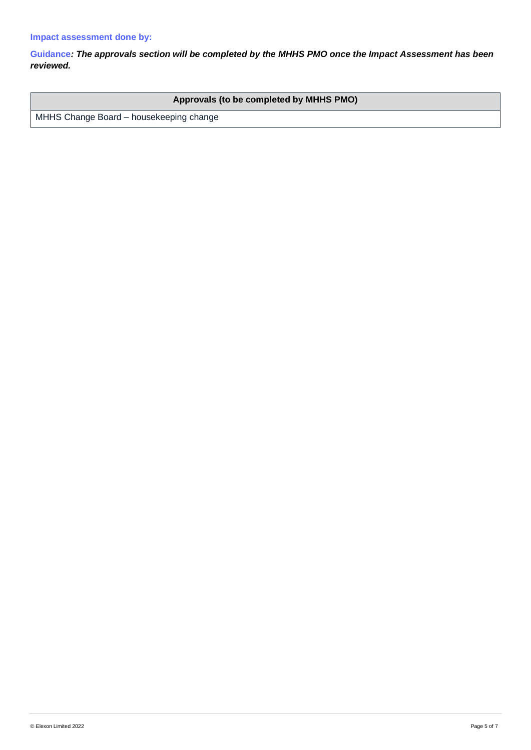**Guidance***: The approvals section will be completed by the MHHS PMO once the Impact Assessment has been reviewed.*

# **Approvals (to be completed by MHHS PMO)**

MHHS Change Board – housekeeping change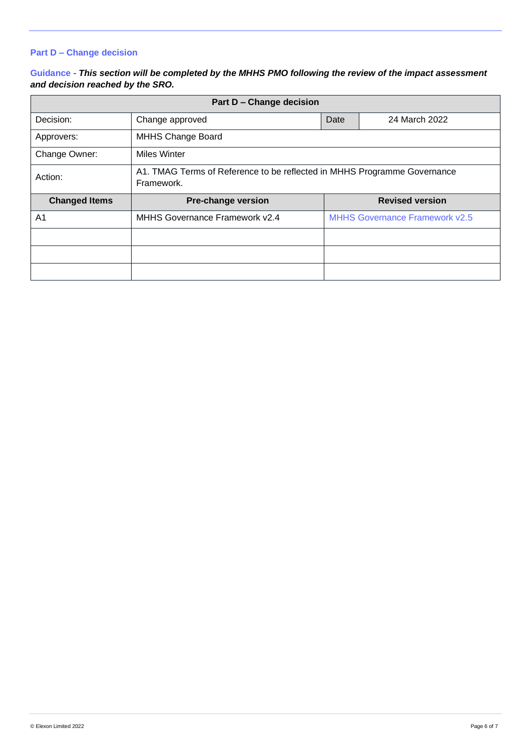# **Part D – Change decision**

# **Guidance** - *This section will be completed by the MHHS PMO following the review of the impact assessment and decision reached by the SRO.*

| <b>Part D - Change decision</b> |                                                                                        |      |                                |
|---------------------------------|----------------------------------------------------------------------------------------|------|--------------------------------|
| Decision:                       | Change approved                                                                        | Date | 24 March 2022                  |
| Approvers:                      | <b>MHHS Change Board</b>                                                               |      |                                |
| Change Owner:                   | Miles Winter                                                                           |      |                                |
| Action:                         | A1. TMAG Terms of Reference to be reflected in MHHS Programme Governance<br>Framework. |      |                                |
| <b>Changed Items</b>            | <b>Pre-change version</b>                                                              |      | <b>Revised version</b>         |
| A <sub>1</sub>                  | MHHS Governance Framework v2.4                                                         |      | MHHS Governance Framework v2.5 |
|                                 |                                                                                        |      |                                |
|                                 |                                                                                        |      |                                |
|                                 |                                                                                        |      |                                |